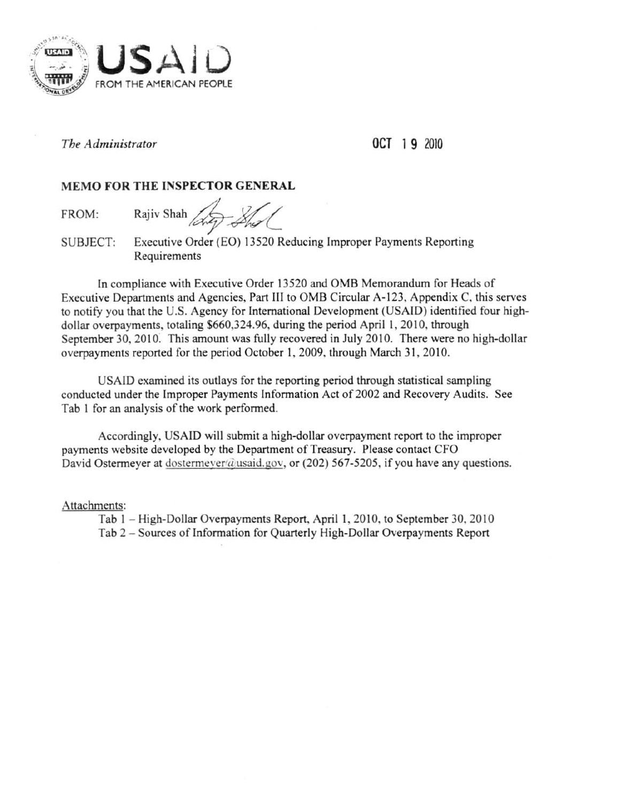

*The Administrator* 

OCT 19 2010

**MEMO FOR THE INSPECTOR GENERAL**<br>FROM: Rajiv Shah *Ang Shal* 

SUBJECT: Executive Order (EO) 13520 Reducing Improper Payments Reporting Requirements

In compliance with Executive Order 13520 and OMB Memorandum for Heads of Executive Departments and Agencies, Part III to OMS Circular A-123, Appendix C. this serves to notify you that the U.S. Agency for International Development (USAJD) identified four highdollar overpayments, totaling \$660,324.96, during the period April 1, 2010. through September 30. 2010. This amount was fully recovered in July 2010. There were no high-dollar overpayments reported for the period October 1, 2009, through March 31, 2010.

USAID examined its outlays for the reponing period through statistical sampling conducted under the Improper Payments Information Act of 2002 and Recovery Audits. See Tab I for an analysis of the work performed.

Accordingly, USAID will submit a high-dollar overpayment report to the improper payments website developed by the Department of Treasury. Please contact CFO David Ostermeyer at dostermeyer $\hat{a}$ usaid.gov, or (202) 567-5205, if you have any questions.

Attachments:

Tab 1 – High-Dollar Overpayments Report, April 1, 2010, to September 30, 2010 Tab 2 - Sources of Information for Quarterly High-Dollar Overpayments Report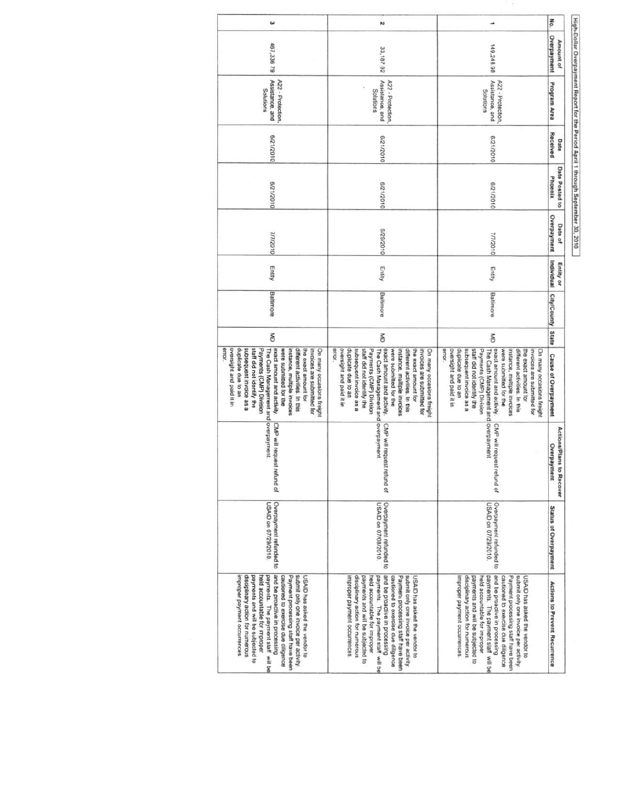High-Dollar Overpayment Report for the Period April 1 through September 30, 2010

| $\omega$                                                                                                                                                                                                                                                                                                                                                                                         | N                                                                                                                                                                                                                                                                                                                                                                                                |                                                                                                                                                                                                                                                                                                                                                                                                 | No.                                        |
|--------------------------------------------------------------------------------------------------------------------------------------------------------------------------------------------------------------------------------------------------------------------------------------------------------------------------------------------------------------------------------------------------|--------------------------------------------------------------------------------------------------------------------------------------------------------------------------------------------------------------------------------------------------------------------------------------------------------------------------------------------------------------------------------------------------|-------------------------------------------------------------------------------------------------------------------------------------------------------------------------------------------------------------------------------------------------------------------------------------------------------------------------------------------------------------------------------------------------|--------------------------------------------|
| 467,336 79                                                                                                                                                                                                                                                                                                                                                                                       | 33,187.92                                                                                                                                                                                                                                                                                                                                                                                        | 149,248.98                                                                                                                                                                                                                                                                                                                                                                                      | Overpayment<br>Amount of                   |
| Assistance, and<br>A22 - Protection.<br>Solutions                                                                                                                                                                                                                                                                                                                                                | Assistance, and<br>A22 - Protection<br>Solutions                                                                                                                                                                                                                                                                                                                                                 | Assistance, and<br>A22 - Protection<br>Supports                                                                                                                                                                                                                                                                                                                                                 | Program Area                               |
| 0102/12/9                                                                                                                                                                                                                                                                                                                                                                                        | 0102/12010                                                                                                                                                                                                                                                                                                                                                                                       | 0102/12/9                                                                                                                                                                                                                                                                                                                                                                                       | Received<br>Date                           |
| 0102/12/9                                                                                                                                                                                                                                                                                                                                                                                        | 6/21/2010                                                                                                                                                                                                                                                                                                                                                                                        | 0102/12/9                                                                                                                                                                                                                                                                                                                                                                                       | Date Posted to<br>Phoenix                  |
| 7/7/2010                                                                                                                                                                                                                                                                                                                                                                                         | 0102/62/9                                                                                                                                                                                                                                                                                                                                                                                        | 0102/1/2                                                                                                                                                                                                                                                                                                                                                                                        | Overpayment<br>Date of                     |
| Entity                                                                                                                                                                                                                                                                                                                                                                                           | Entity                                                                                                                                                                                                                                                                                                                                                                                           | Entity                                                                                                                                                                                                                                                                                                                                                                                          | Individual<br>Entity or                    |
| Baltimore                                                                                                                                                                                                                                                                                                                                                                                        | Baltimore                                                                                                                                                                                                                                                                                                                                                                                        | Baltimore                                                                                                                                                                                                                                                                                                                                                                                       | <b>Clty/County</b>                         |
| š                                                                                                                                                                                                                                                                                                                                                                                                | š                                                                                                                                                                                                                                                                                                                                                                                                | š                                                                                                                                                                                                                                                                                                                                                                                               | State                                      |
| error.<br>oversight and paid it in<br>duplicate due to an<br>subsequent invoice as a<br>staff did not identify the<br>Payments (CMP) Division<br>The Cash Management and overpayment.<br>exact amount and activity.<br>different activities. In this<br>the exact amount for<br>were submitted for the<br>instance, multiple invoices<br>invoices are submitted for<br>On many occasions freight | error.<br>exact amount and activity.<br>oversight and paid it in<br>duplicate due to an<br>subsequent invoice as a<br>staff did not identify the<br>Payments (CMP) Division<br>The Cash Management and overpayment.<br>instance, multiple invoices<br>different activities. In this<br>the exact amount for<br>invoices are submitted for<br>On many occasions freight<br>were submitted for the | exact amount and activity.<br>error.<br>oversight and paid it in<br>duplicate due to an<br>subsequent invoice as a<br>staff did not identify the<br>Payments (CMP) Division<br>were submitted for the<br>different activities. In this<br>the exact amount for<br>invoices are submitted for<br>The Cash Management and overpayment<br>instance, multiple invoices<br>On many occasions freight | <b>Cause of Overpayment</b>                |
| CMP will request<br>refund of                                                                                                                                                                                                                                                                                                                                                                    | CMP will request<br>refund of                                                                                                                                                                                                                                                                                                                                                                    | CMP will request<br>refund of                                                                                                                                                                                                                                                                                                                                                                   | Actions/Plans<br>Overpayment<br>to Recover |
| Overpayment refunded to<br>0102/62/10 uo QIVSN                                                                                                                                                                                                                                                                                                                                                   | Overpayment refunded to<br>USAID on 07/08/2010.                                                                                                                                                                                                                                                                                                                                                  | Overpayment refunded to<br>USAID on 07/29/2010.                                                                                                                                                                                                                                                                                                                                                 | <b>Status of Overpayment</b>               |
| improper payment occurrences<br>disciplinary action for numerous<br>payments and will be subjected to<br>payments. The payment staff will be<br>and be proactive in processing<br>submit only one invoice per activity.<br>Payment processing staff have been<br>held accountable for improper<br>cautioned to exercise due diligence<br>USAID has asked the vendor to                           | and be proactive in processing<br>disciplinary action for numerous<br>held accountable for improper<br>payments. The payment staff will be<br>improper payment occurrences<br>payments and will be subjected to<br>Payment processing staff have been<br>submit only one invoice per activity<br>cautioned to exercise due diligence<br>USAID has asked the vendor to                            | and be proactive in processing<br>held accountable for improper<br>payments. The payment staff will be<br>Payment processing staff have been<br>improper payment occurrences<br>disciplinary action for numerous<br>cautioned to exercise due diligence<br>submit only one invoice per activity.<br>payments and will be subjected to<br>USAID has asked the vendor to                          | Actions to Prevent Recurrence              |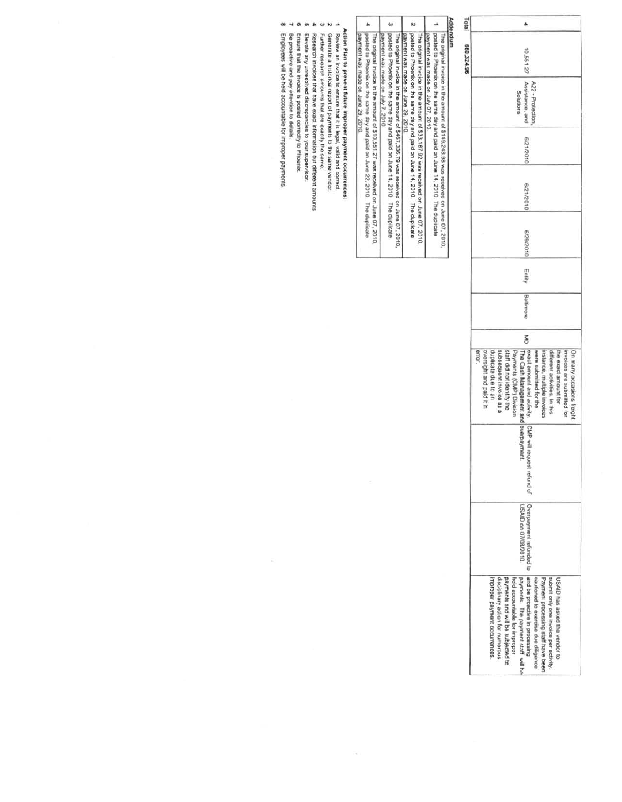| Total      |                                                                                                                                                                                                                                                                                                                                                                                                                 |  |  |  |
|------------|-----------------------------------------------------------------------------------------------------------------------------------------------------------------------------------------------------------------------------------------------------------------------------------------------------------------------------------------------------------------------------------------------------------------|--|--|--|
| 660,324.96 | 10,551.27                                                                                                                                                                                                                                                                                                                                                                                                       |  |  |  |
|            | Assistance, and<br>A22 - Protection<br>Solutions                                                                                                                                                                                                                                                                                                                                                                |  |  |  |
|            | 0102/12/9                                                                                                                                                                                                                                                                                                                                                                                                       |  |  |  |
|            | 102/12/9                                                                                                                                                                                                                                                                                                                                                                                                        |  |  |  |
|            | 102/62/9                                                                                                                                                                                                                                                                                                                                                                                                        |  |  |  |
|            | Entity                                                                                                                                                                                                                                                                                                                                                                                                          |  |  |  |
|            | Baltimore                                                                                                                                                                                                                                                                                                                                                                                                       |  |  |  |
|            | š                                                                                                                                                                                                                                                                                                                                                                                                               |  |  |  |
|            | exact amount and activity. CMP will request<br>staff did not identify the<br>the exact amount for<br>error<br>duplicate due to an<br>subsequent invoice as a<br>Payments (CMP) Division<br>The Cash Management and overpayment<br>invoices are submitted for<br>On many occasions freight<br>oversight and paid it in<br>were submitted for the<br>instance, multiple invoices<br>different activities. In this |  |  |  |
|            | refund of                                                                                                                                                                                                                                                                                                                                                                                                       |  |  |  |
|            | USAID on 07/08/2010.                                                                                                                                                                                                                                                                                                                                                                                            |  |  |  |
|            | Overpayment refunded to land be proactive in processing<br>payments. The payment staff will be<br>Improper payment occurrences<br>disciplinary action for numerous<br>payments and will be subjected to<br>cautioned to exercise due disgence<br>Payment processing staff have been<br>held accountable for improper<br>submit only one invoice per activity<br>USAID has asked the vendor to                   |  |  |  |

# Addendum

| $\frac{1}{2}$                                                                                                                                                                                                                        |
|--------------------------------------------------------------------------------------------------------------------------------------------------------------------------------------------------------------------------------------|
| The original invoice in the amount of \$149,248.98 was received on June 07, 2010,                                                                                                                                                    |
| posted to Phoenix on the same day and paid on June 14, 2010. The duplicate<br>payment was made on July 07, 2010.                                                                                                                     |
| <b>THE STATE IS A REAL FIRST COMMUNIST COMMUNIST COMMUNIST COMMUNIST COMMUNIST COMMUNIST COMMUNIST COMMUNIST COMMUNIST COMMUNIST COMMUNIST COMMUNIST COMMUNIST COMMUNIST COMMUNIST COMMUNIST COMMUNIST COMMUNIST COMMUNIST COMMU</b> |

- $\overline{\mathbf{v}}$
- $\omega$ The original invoice in the amount of \$33.187.92 was received on June 07, 2010.<br>power was made on June 29, 2010<br>The original invoice in the amount of \$467.336.79 was received on June 07, 2010,<br>posted to Phoenix on the sam
- $\blacktriangle$ The original invoice in the amount of \$10,551,27 was received on June 07, 2010,<br>posted to Phoenix on the same day and paid on June 22, 2010. The duplicate<br>payment was made on June 29, 2010.
- 

 $\mathcal{C}_{\mathbf{d}}$ 

# Action Plan to prevent future improper payment occurrences:<br>Review an invoice to ensure that it is legal, valid and correct.<br>Generate a historical report of payments to the same vendor.

- ä,
- 
- Further research amounts that are exactly the same.
- $\begin{array}{ccccccccccccccccc} \multicolumn{4}{c}{} & \multicolumn{4}{c}{} & \multicolumn{4}{c}{} & \multicolumn{4}{c}{} & \multicolumn{4}{c}{} & \multicolumn{4}{c}{} & \multicolumn{4}{c}{} & \multicolumn{4}{c}{} & \multicolumn{4}{c}{} & \multicolumn{4}{c}{} & \multicolumn{4}{c}{} & \multicolumn{4}{c}{} & \multicolumn{4}{c}{} & \multicolumn{4}{c}{} & \multicolumn{4}{c}{} & \multicolumn{4}{c}{} & \multicolumn{4}{c}{} & \multicolumn{4}{c}{} & \multicolumn{4}{c}{} &$
- Research invoices that have exact information but different amounts<br>Elevate any unresoived discrepancies to your supervisor.<br>Ensure that the invoice is posted correctly to Phoenix.<br>Be proactive and pay attention to details
	-
- 
- œ Employees will be held accountable for improper payments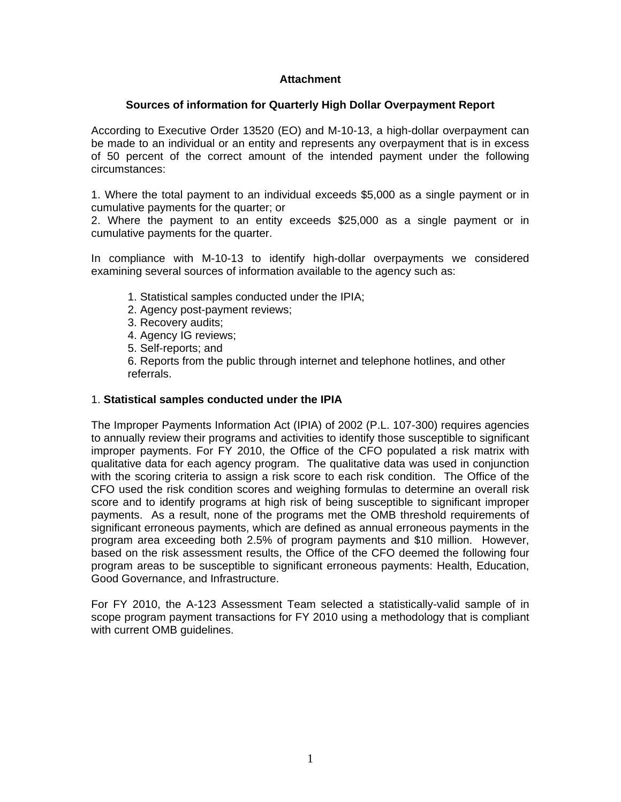## **Attachment**

### **Sources of information for Quarterly High Dollar Overpayment Report**

According to Executive Order 13520 (EO) and M-10-13, a high-dollar overpayment can be made to an individual or an entity and represents any overpayment that is in excess of 50 percent of the correct amount of the intended payment under the following circumstances:

1. Where the total payment to an individual exceeds \$5,000 as a single payment or in cumulative payments for the quarter; or

2. Where the payment to an entity exceeds \$25,000 as a single payment or in cumulative payments for the quarter.

In compliance with M-10-13 to identify high-dollar overpayments we considered examining several sources of information available to the agency such as:

- 1. Statistical samples conducted under the IPIA;
- 2. Agency post-payment reviews;
- 3. Recovery audits;
- 4. Agency IG reviews;
- 5. Self-reports; and

6. Reports from the public through internet and telephone hotlines, and other referrals.

### 1. **Statistical samples conducted under the IPIA**

The Improper Payments Information Act (IPIA) of 2002 (P.L. 107-300) requires agencies to annually review their programs and activities to identify those susceptible to significant improper payments. For FY 2010, the Office of the CFO populated a risk matrix with qualitative data for each agency program. The qualitative data was used in conjunction with the scoring criteria to assign a risk score to each risk condition. The Office of the CFO used the risk condition scores and weighing formulas to determine an overall risk score and to identify programs at high risk of being susceptible to significant improper payments. As a result, none of the programs met the OMB threshold requirements of significant erroneous payments, which are defined as annual erroneous payments in the program area exceeding both 2.5% of program payments and \$10 million. However, based on the risk assessment results, the Office of the CFO deemed the following four program areas to be susceptible to significant erroneous payments: Health, Education, Good Governance, and Infrastructure.

For FY 2010, the A-123 Assessment Team selected a statistically-valid sample of in scope program payment transactions for FY 2010 using a methodology that is compliant with current OMB guidelines.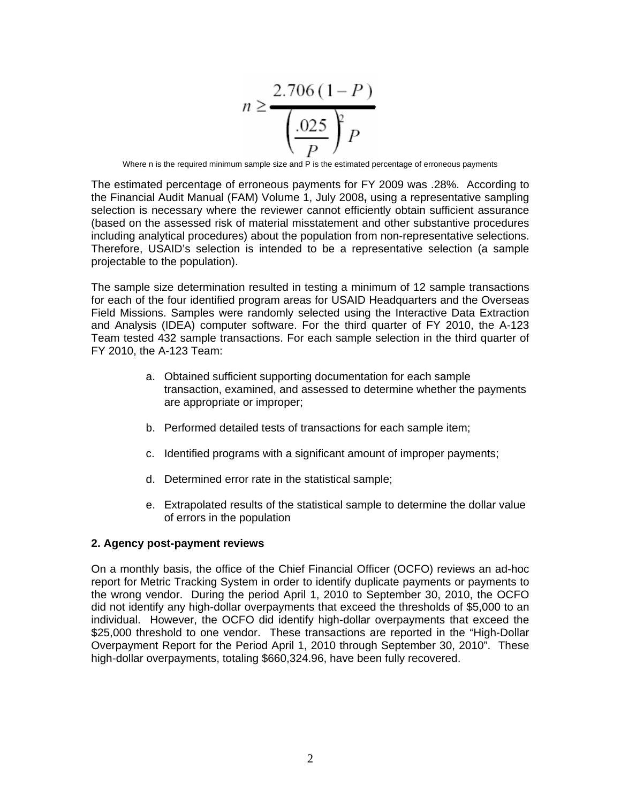$$
n \ge \frac{2.706(1 - P)}{\left(\frac{.025}{P}\right)^p}
$$

Where n is the required minimum sample size and P is the estimated percentage of erroneous payments

The estimated percentage of erroneous payments for FY 2009 was .28%. According to the Financial Audit Manual (FAM) Volume 1, July 2008**,** using a representative sampling selection is necessary where the reviewer cannot efficiently obtain sufficient assurance (based on the assessed risk of material misstatement and other substantive procedures including analytical procedures) about the population from non-representative selections. Therefore, USAID's selection is intended to be a representative selection (a sample projectable to the population).

The sample size determination resulted in testing a minimum of 12 sample transactions for each of the four identified program areas for USAID Headquarters and the Overseas Field Missions. Samples were randomly selected using the Interactive Data Extraction and Analysis (IDEA) computer software. For the third quarter of FY 2010, the A-123 Team tested 432 sample transactions. For each sample selection in the third quarter of FY 2010, the A-123 Team:

- a. Obtained sufficient supporting documentation for each sample transaction, examined, and assessed to determine whether the payments are appropriate or improper;
- b. Performed detailed tests of transactions for each sample item;
- c. Identified programs with a significant amount of improper payments;
- d. Determined error rate in the statistical sample;
- e. Extrapolated results of the statistical sample to determine the dollar value of errors in the population

### **2. Agency post-payment reviews**

On a monthly basis, the office of the Chief Financial Officer (OCFO) reviews an ad-hoc report for Metric Tracking System in order to identify duplicate payments or payments to the wrong vendor. During the period April 1, 2010 to September 30, 2010, the OCFO did not identify any high-dollar overpayments that exceed the thresholds of \$5,000 to an individual. However, the OCFO did identify high-dollar overpayments that exceed the \$25,000 threshold to one vendor. These transactions are reported in the "High-Dollar Overpayment Report for the Period April 1, 2010 through September 30, 2010". These high-dollar overpayments, totaling \$660,324.96, have been fully recovered.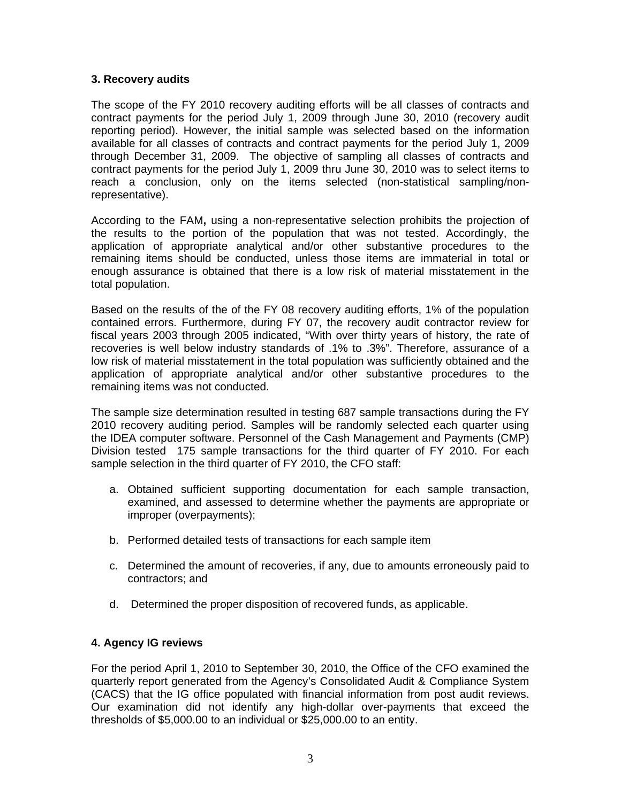### **3. Recovery audits**

The scope of the FY 2010 recovery auditing efforts will be all classes of contracts and contract payments for the period July 1, 2009 through June 30, 2010 (recovery audit reporting period). However, the initial sample was selected based on the information available for all classes of contracts and contract payments for the period July 1, 2009 through December 31, 2009. The objective of sampling all classes of contracts and contract payments for the period July 1, 2009 thru June 30, 2010 was to select items to reach a conclusion, only on the items selected (non-statistical sampling/nonrepresentative).

According to the FAM**,** using a non-representative selection prohibits the projection of the results to the portion of the population that was not tested. Accordingly, the application of appropriate analytical and/or other substantive procedures to the remaining items should be conducted, unless those items are immaterial in total or enough assurance is obtained that there is a low risk of material misstatement in the total population.

Based on the results of the of the FY 08 recovery auditing efforts, 1% of the population contained errors. Furthermore, during FY 07, the recovery audit contractor review for fiscal years 2003 through 2005 indicated, "With over thirty years of history, the rate of recoveries is well below industry standards of .1% to .3%". Therefore, assurance of a low risk of material misstatement in the total population was sufficiently obtained and the application of appropriate analytical and/or other substantive procedures to the remaining items was not conducted.

The sample size determination resulted in testing 687 sample transactions during the FY 2010 recovery auditing period. Samples will be randomly selected each quarter using the IDEA computer software. Personnel of the Cash Management and Payments (CMP) Division tested 175 sample transactions for the third quarter of FY 2010. For each sample selection in the third quarter of FY 2010, the CFO staff:

- a. Obtained sufficient supporting documentation for each sample transaction, examined, and assessed to determine whether the payments are appropriate or improper (overpayments);
- b. Performed detailed tests of transactions for each sample item
- c. Determined the amount of recoveries, if any, due to amounts erroneously paid to contractors; and
- d. Determined the proper disposition of recovered funds, as applicable.

## **4. Agency IG reviews**

For the period April 1, 2010 to September 30, 2010, the Office of the CFO examined the quarterly report generated from the Agency's Consolidated Audit & Compliance System (CACS) that the IG office populated with financial information from post audit reviews. Our examination did not identify any high-dollar over-payments that exceed the thresholds of \$5,000.00 to an individual or \$25,000.00 to an entity.